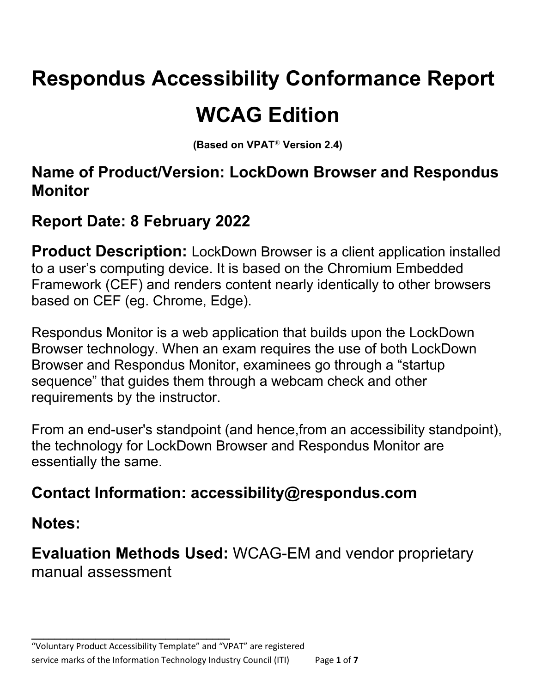# **Respondus Accessibility Conformance Report WCAG Edition**

**(Based on VPAT**® **Version 2.4)**

#### **Name of Product/Version: LockDown Browser and Respondus Monitor**

## **Report Date: 8 February 2022**

**Product Description:** LockDown Browser is a client application installed to a user's computing device. It is based on the Chromium Embedded Framework (CEF) and renders content nearly identically to other browsers based on CEF (eg. Chrome, Edge).

Respondus Monitor is a web application that builds upon the LockDown Browser technology. When an exam requires the use of both LockDown Browser and Respondus Monitor, examinees go through a "startup sequence" that guides them through a webcam check and other requirements by the instructor.

From an end-user's standpoint (and hence,from an accessibility standpoint), the technology for LockDown Browser and Respondus Monitor are essentially the same.

### **Contact Information: accessibility@respondus.com**

#### **Notes:**

**Evaluation Methods Used:** WCAG-EM and vendor proprietary manual assessment

**\_\_\_\_\_\_\_\_\_\_\_\_\_\_\_\_\_\_\_\_\_\_\_\_\_\_\_\_\_\_\_\_\_\_**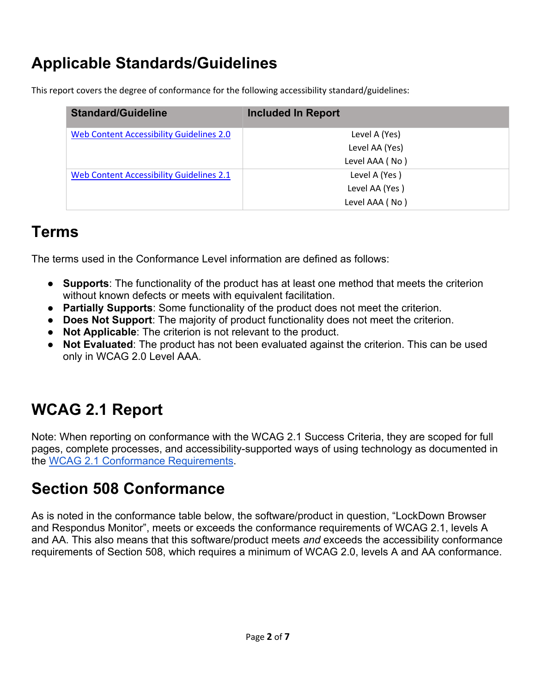## **Applicable Standards/Guidelines**

This report covers the degree of conformance for the following accessibility standard/guidelines:

| <b>Standard/Guideline</b>                | <b>Included In Report</b> |
|------------------------------------------|---------------------------|
| Web Content Accessibility Guidelines 2.0 | Level A (Yes)             |
|                                          | Level AA (Yes)            |
|                                          | Level AAA (No)            |
| Web Content Accessibility Guidelines 2.1 | Level A (Yes)             |
|                                          | Level AA (Yes)            |
|                                          | Level AAA (No)            |

#### **Terms**

The terms used in the Conformance Level information are defined as follows:

- **Supports**: The functionality of the product has at least one method that meets the criterion without known defects or meets with equivalent facilitation.
- **Partially Supports**: Some functionality of the product does not meet the criterion.
- **Does Not Support**: The majority of product functionality does not meet the criterion.
- **Not Applicable**: The criterion is not relevant to the product.
- **Not Evaluated:** The product has not been evaluated against the criterion. This can be used only in WCAG 2.0 Level AAA.

# **WCAG 2.1 Report**

Note: When reporting on conformance with the WCAG 2.1 Success Criteria, they are scoped for full pages, complete processes, and accessibility-supported ways of using technology as documented in the WCAG 2.1 Conformance Requirements.

## **Section 508 Conformance**

As is noted in the conformance table below, the software/product in question, "LockDown Browser and Respondus Monitor", meets or exceeds the conformance requirements of WCAG 2.1, levels A and AA. This also means that this software/product meets *and* exceeds the accessibility conformance requirements of Section 508, which requires a minimum of WCAG 2.0, levels A and AA conformance.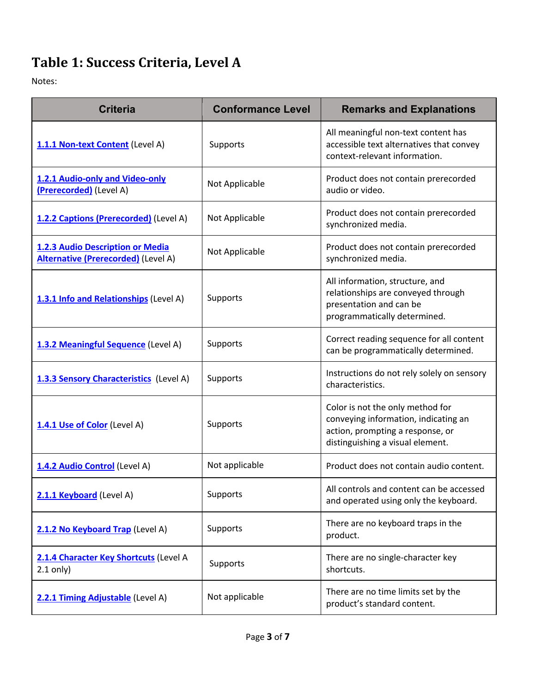# Table 1: Success Criteria, Level A

Notes:

| <b>Criteria</b>                                                                | <b>Conformance Level</b> | <b>Remarks and Explanations</b>                                                                                                                  |
|--------------------------------------------------------------------------------|--------------------------|--------------------------------------------------------------------------------------------------------------------------------------------------|
| 1.1.1 Non-text Content (Level A)                                               | Supports                 | All meaningful non-text content has<br>accessible text alternatives that convey<br>context-relevant information.                                 |
| 1.2.1 Audio-only and Video-only<br>(Prerecorded) (Level A)                     | Not Applicable           | Product does not contain prerecorded<br>audio or video.                                                                                          |
| 1.2.2 Captions (Prerecorded) (Level A)                                         | Not Applicable           | Product does not contain prerecorded<br>synchronized media.                                                                                      |
| 1.2.3 Audio Description or Media<br><b>Alternative (Prerecorded)</b> (Level A) | Not Applicable           | Product does not contain prerecorded<br>synchronized media.                                                                                      |
| 1.3.1 Info and Relationships (Level A)                                         | Supports                 | All information, structure, and<br>relationships are conveyed through<br>presentation and can be<br>programmatically determined.                 |
| 1.3.2 Meaningful Sequence (Level A)                                            | Supports                 | Correct reading sequence for all content<br>can be programmatically determined.                                                                  |
| 1.3.3 Sensory Characteristics (Level A)                                        | Supports                 | Instructions do not rely solely on sensory<br>characteristics.                                                                                   |
| 1.4.1 Use of Color (Level A)                                                   | Supports                 | Color is not the only method for<br>conveying information, indicating an<br>action, prompting a response, or<br>distinguishing a visual element. |
| 1.4.2 Audio Control (Level A)                                                  | Not applicable           | Product does not contain audio content.                                                                                                          |
| 2.1.1 Keyboard (Level A)                                                       | Supports                 | All controls and content can be accessed<br>and operated using only the keyboard.                                                                |
| 2.1.2 No Keyboard Trap (Level A)                                               | Supports                 | There are no keyboard traps in the<br>product.                                                                                                   |
| 2.1.4 Character Key Shortcuts (Level A<br>$2.1$ only)                          | Supports                 | There are no single-character key<br>shortcuts.                                                                                                  |
| 2.2.1 Timing Adjustable (Level A)                                              | Not applicable           | There are no time limits set by the<br>product's standard content.                                                                               |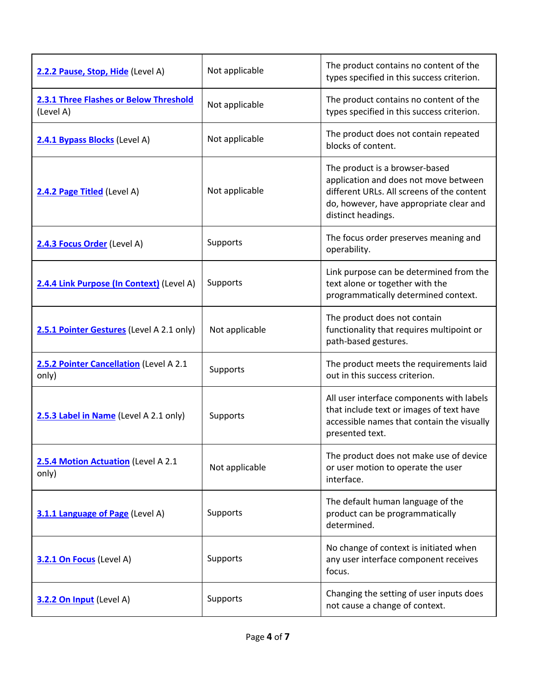| 2.2.2 Pause, Stop, Hide (Level A)                   | Not applicable | The product contains no content of the<br>types specified in this success criterion.                                                                                                   |
|-----------------------------------------------------|----------------|----------------------------------------------------------------------------------------------------------------------------------------------------------------------------------------|
| 2.3.1 Three Flashes or Below Threshold<br>(Level A) | Not applicable | The product contains no content of the<br>types specified in this success criterion.                                                                                                   |
| 2.4.1 Bypass Blocks (Level A)                       | Not applicable | The product does not contain repeated<br>blocks of content.                                                                                                                            |
| 2.4.2 Page Titled (Level A)                         | Not applicable | The product is a browser-based<br>application and does not move between<br>different URLs. All screens of the content<br>do, however, have appropriate clear and<br>distinct headings. |
| 2.4.3 Focus Order (Level A)                         | Supports       | The focus order preserves meaning and<br>operability.                                                                                                                                  |
| 2.4.4 Link Purpose (In Context) (Level A)           | Supports       | Link purpose can be determined from the<br>text alone or together with the<br>programmatically determined context.                                                                     |
| 2.5.1 Pointer Gestures (Level A 2.1 only)           | Not applicable | The product does not contain<br>functionality that requires multipoint or<br>path-based gestures.                                                                                      |
| 2.5.2 Pointer Cancellation (Level A 2.1<br>only)    | Supports       | The product meets the requirements laid<br>out in this success criterion.                                                                                                              |
| 2.5.3 Label in Name (Level A 2.1 only)              | Supports       | All user interface components with labels<br>that include text or images of text have<br>accessible names that contain the visually<br>presented text.                                 |
| 2.5.4 Motion Actuation (Level A 2.1<br>only)        | Not applicable | The product does not make use of device<br>or user motion to operate the user<br>interface.                                                                                            |
| 3.1.1 Language of Page (Level A)                    | Supports       | The default human language of the<br>product can be programmatically<br>determined.                                                                                                    |
| 3.2.1 On Focus (Level A)                            | Supports       | No change of context is initiated when<br>any user interface component receives<br>focus.                                                                                              |
| 3.2.2 On Input (Level A)                            | Supports       | Changing the setting of user inputs does<br>not cause a change of context.                                                                                                             |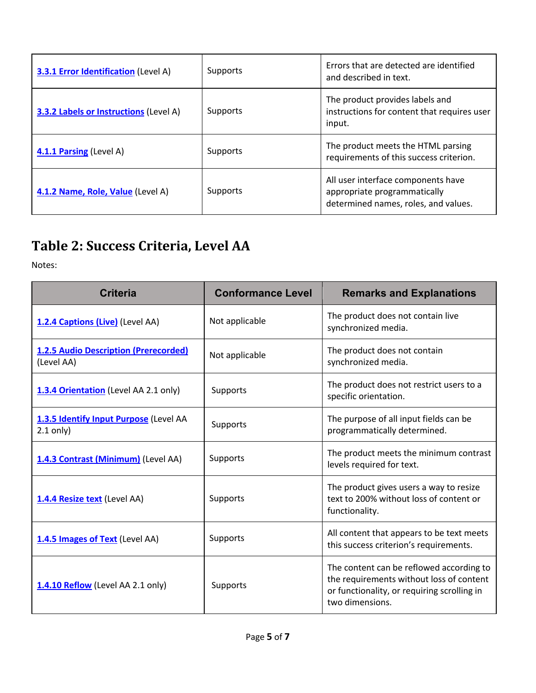| <b>3.3.1 Error Identification</b> (Level A)   | Supports | Errors that are detected are identified<br>and described in text.                                          |
|-----------------------------------------------|----------|------------------------------------------------------------------------------------------------------------|
| <b>3.3.2 Labels or Instructions (Level A)</b> | Supports | The product provides labels and<br>instructions for content that requires user<br>input.                   |
| 4.1.1 Parsing (Level A)                       | Supports | The product meets the HTML parsing<br>requirements of this success criterion.                              |
| 4.1.2 Name, Role, Value (Level A)             | Supports | All user interface components have<br>appropriate programmatically<br>determined names, roles, and values. |

# Table 2: Success Criteria, Level AA

Notes:

| <b>Criteria</b>                                            | <b>Conformance Level</b> | <b>Remarks and Explanations</b>                                                                                                                        |
|------------------------------------------------------------|--------------------------|--------------------------------------------------------------------------------------------------------------------------------------------------------|
| 1.2.4 Captions (Live) (Level AA)                           | Not applicable           | The product does not contain live<br>synchronized media.                                                                                               |
| <b>1.2.5 Audio Description (Prerecorded)</b><br>(Level AA) | Not applicable           | The product does not contain<br>synchronized media.                                                                                                    |
| 1.3.4 Orientation (Level AA 2.1 only)                      | Supports                 | The product does not restrict users to a<br>specific orientation.                                                                                      |
| 1.3.5 Identify Input Purpose (Level AA<br>$2.1$ only)      | Supports                 | The purpose of all input fields can be<br>programmatically determined.                                                                                 |
| 1.4.3 Contrast (Minimum) (Level AA)                        | Supports                 | The product meets the minimum contrast<br>levels required for text.                                                                                    |
| 1.4.4 Resize text (Level AA)                               | Supports                 | The product gives users a way to resize<br>text to 200% without loss of content or<br>functionality.                                                   |
| 1.4.5 Images of Text (Level AA)                            | Supports                 | All content that appears to be text meets<br>this success criterion's requirements.                                                                    |
| 1.4.10 Reflow (Level AA 2.1 only)                          | Supports                 | The content can be reflowed according to<br>the requirements without loss of content<br>or functionality, or requiring scrolling in<br>two dimensions. |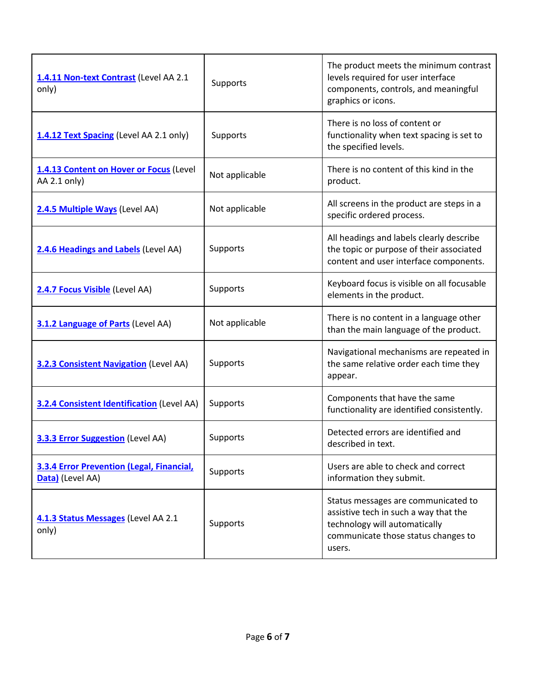| 1.4.11 Non-text Contrast (Level AA 2.1<br>only)               | Supports       | The product meets the minimum contrast<br>levels required for user interface<br>components, controls, and meaningful<br>graphics or icons.                     |
|---------------------------------------------------------------|----------------|----------------------------------------------------------------------------------------------------------------------------------------------------------------|
| 1.4.12 Text Spacing (Level AA 2.1 only)                       | Supports       | There is no loss of content or<br>functionality when text spacing is set to<br>the specified levels.                                                           |
| 1.4.13 Content on Hover or Focus (Level<br>AA 2.1 only)       | Not applicable | There is no content of this kind in the<br>product.                                                                                                            |
| 2.4.5 Multiple Ways (Level AA)                                | Not applicable | All screens in the product are steps in a<br>specific ordered process.                                                                                         |
| 2.4.6 Headings and Labels (Level AA)                          | Supports       | All headings and labels clearly describe<br>the topic or purpose of their associated<br>content and user interface components.                                 |
| 2.4.7 Focus Visible (Level AA)                                | Supports       | Keyboard focus is visible on all focusable<br>elements in the product.                                                                                         |
| 3.1.2 Language of Parts (Level AA)                            | Not applicable | There is no content in a language other<br>than the main language of the product.                                                                              |
| <b>3.2.3 Consistent Navigation (Level AA)</b>                 | Supports       | Navigational mechanisms are repeated in<br>the same relative order each time they<br>appear.                                                                   |
| <b>3.2.4 Consistent Identification</b> (Level AA)             | Supports       | Components that have the same<br>functionality are identified consistently.                                                                                    |
| 3.3.3 Error Suggestion (Level AA)                             | Supports       | Detected errors are identified and<br>described in text.                                                                                                       |
| 3.3.4 Error Prevention (Legal, Financial,<br>Data) (Level AA) | Supports       | Users are able to check and correct<br>information they submit.                                                                                                |
| 4.1.3 Status Messages (Level AA 2.1<br>only)                  | Supports       | Status messages are communicated to<br>assistive tech in such a way that the<br>technology will automatically<br>communicate those status changes to<br>users. |